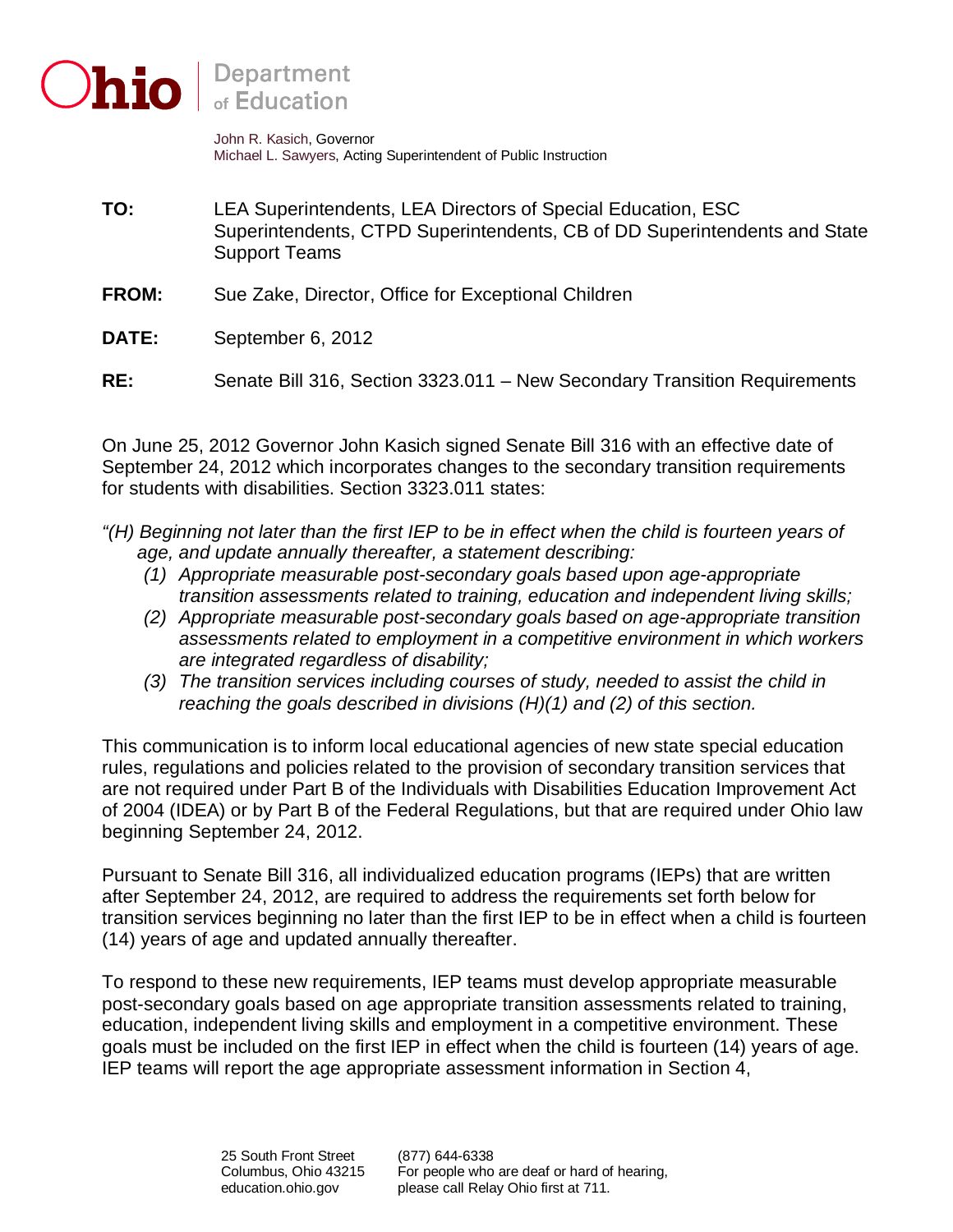

John R. Kasich, Governor Michael L. Sawyers, Acting Superintendent of Public Instruction

- **TO:** LEA Superintendents, LEA Directors of Special Education, ESC Superintendents, CTPD Superintendents, CB of DD Superintendents and State Support Teams
- **FROM:** Sue Zake, Director, Office for Exceptional Children
- **DATE:** September 6, 2012
- **RE:** Senate Bill 316, Section 3323.011 New Secondary Transition Requirements

On June 25, 2012 Governor John Kasich signed Senate Bill 316 with an effective date of September 24, 2012 which incorporates changes to the secondary transition requirements for students with disabilities. Section 3323.011 states:

- *"(H) Beginning not later than the first IEP to be in effect when the child is fourteen years of age, and update annually thereafter, a statement describing:* 
	- *(1) Appropriate measurable post-secondary goals based upon age-appropriate transition assessments related to training, education and independent living skills;*
	- *(2) Appropriate measurable post-secondary goals based on age-appropriate transition assessments related to employment in a competitive environment in which workers are integrated regardless of disability;*
	- *(3) The transition services including courses of study, needed to assist the child in reaching the goals described in divisions (H)(1) and (2) of this section.*

This communication is to inform local educational agencies of new state special education rules, regulations and policies related to the provision of secondary transition services that are not required under Part B of the Individuals with Disabilities Education Improvement Act of 2004 (IDEA) or by Part B of the Federal Regulations, but that are required under Ohio law beginning September 24, 2012.

Pursuant to Senate Bill 316, all individualized education programs (IEPs) that are written after September 24, 2012, are required to address the requirements set forth below for transition services beginning no later than the first IEP to be in effect when a child is fourteen (14) years of age and updated annually thereafter.

To respond to these new requirements, IEP teams must develop appropriate measurable post-secondary goals based on age appropriate transition assessments related to training, education, independent living skills and employment in a competitive environment. These goals must be included on the first IEP in effect when the child is fourteen (14) years of age. IEP teams will report the age appropriate assessment information in Section 4,

(877) 644-6338 please call Relay Ohio first at 711. 25 South Front Street (877) 644-6338<br>Columbus, Ohio 43215 For people who are deaf or hard of hearing,<br>education.ohio.gov please call Relay Ohio first at 711.